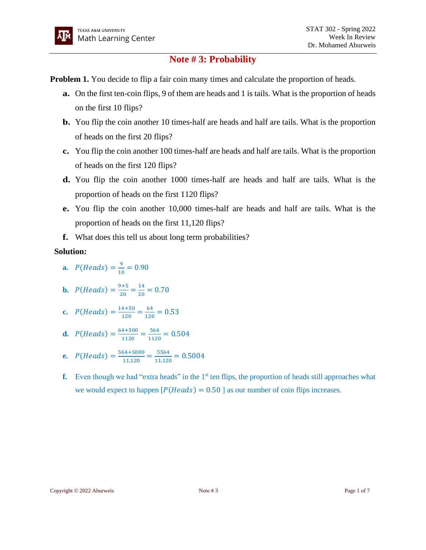# **Note # 3: Probability**

**Problem 1.** You decide to flip a fair coin many times and calculate the proportion of heads.

- **a.** On the first ten-coin flips, 9 of them are heads and 1 is tails. What is the proportion of heads on the first 10 flips?
- **b.** You flip the coin another 10 times-half are heads and half are tails. What is the proportion of heads on the first 20 flips?
- **c.** You flip the coin another 100 times-half are heads and half are tails. What is the proportion of heads on the first 120 flips?
- **d.** You flip the coin another 1000 times-half are heads and half are tails. What is the proportion of heads on the first 1120 flips?
- **e.** You flip the coin another 10,000 times-half are heads and half are tails. What is the proportion of heads on the first 11,120 flips?
- **f.** What does this tell us about long term probabilities?

## **Solution:**

- **a.**  $P(Heads) = \frac{9}{10}$  $\frac{9}{10} = 0.90$
- **b.**  $P(Heads) = \frac{9+5}{30}$  $\frac{1+5}{20} = \frac{14}{20}$  $\frac{14}{20}$  = 0.70
- **c.**  $P(Heads) = \frac{14+50}{130}$  $\frac{4+50}{120} = \frac{64}{120}$  $\frac{64}{120} = 0.53$
- **d.**  $P(Heads) = \frac{64+500}{1120}$  $\frac{4+500}{1120} = \frac{564}{1120}$  $\frac{364}{1120} = 0.504$
- **e.**  $P(Heads) = \frac{564+5000}{11,1200}$  $\frac{54+5000}{11,120} = \frac{5564}{11,120}$  $\frac{3364}{11,120} = 0.5004$
- **f.** Even though we had "extra heads" in the 1<sup>st</sup> ten flips, the proportion of heads still approaches what we would expect to happen  $[P(Heads) = 0.50]$  as our number of coin flips increases.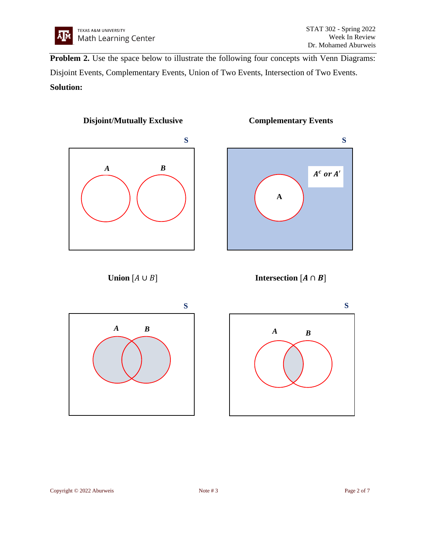

**Problem 2.** Use the space below to illustrate the following four concepts with Venn Diagrams: Disjoint Events, Complementary Events, Union of Two Events, Intersection of Two Events. **Solution:**

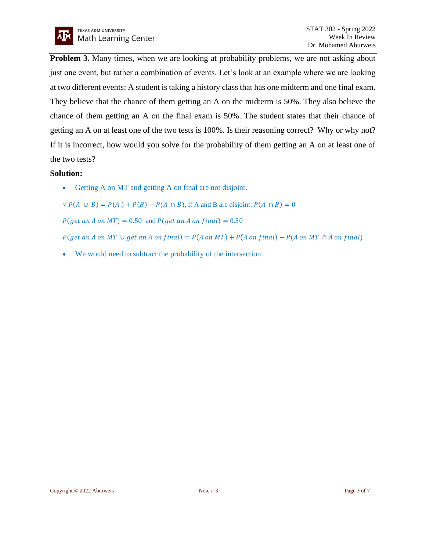**Problem 3.** Many times, when we are looking at probability problems, we are not asking about just one event, but rather a combination of events. Let's look at an example where we are looking at two different events: A student is taking a history class that has one midterm and one final exam. They believe that the chance of them getting an A on the midterm is 50%. They also believe the chance of them getting an A on the final exam is 50%. The student states that their chance of getting an A on at least one of the two tests is 100%. Is their reasoning correct? Why or why not? If it is incorrect, how would you solve for the probability of them getting an A on at least one of the two tests?

#### **Solution:**

- Getting A on MT and getting A on final are not disjoint.
- :  $P(A \cup B) = P(A) + P(B) P(A \cap B)$ , if A and B are disjoint:  $P(A \cap B) = 0$

 $P(\text{get an } A \text{ on } MT) = 0.50$  and  $P(\text{get an } A \text{ on } final) = 0.50$ 

 $P(\text{get an } A \text{ on } MT \cup \text{ get an } A \text{ on } final) = P(A \text{ on } MT) + P(A \text{ on } final) - P(A \text{ on } MT \cap A \text{ on } final)$ 

• We would need to subtract the probability of the intersection.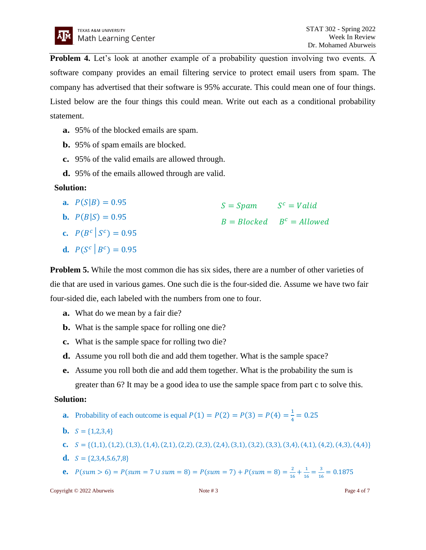**Problem 4.** Let's look at another example of a probability question involving two events. A software company provides an email filtering service to protect email users from spam. The company has advertised that their software is 95% accurate. This could mean one of four things. Listed below are the four things this could mean. Write out each as a conditional probability statement.

- **a.** 95% of the blocked emails are spam.
- **b.** 95% of spam emails are blocked.
- **c.** 95% of the valid emails are allowed through.
- **d.** 95% of the emails allowed through are valid.

#### **Solution:**

- **a.**  $P(S|B) = 0.95$  $S = Spam$   $S<sup>c</sup> = Valid$
- **b.**  $P(B|S) = 0.95$  $B = Blocked$   $B<sup>c</sup> = Allowed$

$$
P(B^c \mid S^c) = 0.95
$$

**d.**  $P(S^c | B^c) = 0.95$ 

**Problem 5.** While the most common die has six sides, there are a number of other varieties of die that are used in various games. One such die is the four-sided die. Assume we have two fair four-sided die, each labeled with the numbers from one to four.

- **a.** What do we mean by a fair die?
- **b.** What is the sample space for rolling one die?
- **c.** What is the sample space for rolling two die?
- **d.** Assume you roll both die and add them together. What is the sample space?
- **e.** Assume you roll both die and add them together. What is the probability the sum is greater than 6? It may be a good idea to use the sample space from part c to solve this.

#### **Solution:**

- **a.** Probability of each outcome is equal  $P(1) = P(2) = P(3) = P(4) = \frac{1}{4}$  $\frac{1}{4}$  = 0.25
- **b.**  $S = \{1,2,3,4\}$
- **c.**  $S = \{(1,1), (1,2), (1,3), (1,4), (2,1), (2,2), (2,3), (2,4), (3,1), (3,2), (3,3), (3,4), (4,1), (4,2), (4,3), (4,4)\}$
- **d.**  $S = \{2,3,4,5.6,7,8\}$
- **e.**  $P(\text{sum} > 6) = P(\text{sum} = 7 \cup \text{sum} = 8) = P(\text{sum} = 7) + P(\text{sum} = 8) = \frac{2}{3}$  $\frac{2}{16} + \frac{1}{16}$  $\frac{1}{16} = \frac{3}{16}$  $\frac{5}{16}$  = 0.1875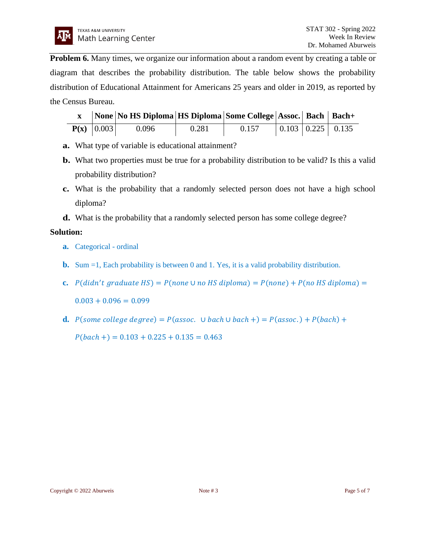

**Problem 6.** Many times, we organize our information about a random event by creating a table or diagram that describes the probability distribution. The table below shows the probability distribution of Educational Attainment for Americans 25 years and older in 2019, as reported by the Census Bureau.

|              | None   No HS Diploma   HS Diploma   Some College   Assoc.   Bach   Bach + |       |       |                                             |  |
|--------------|---------------------------------------------------------------------------|-------|-------|---------------------------------------------|--|
| P(x)   0.003 | 0.096                                                                     | 0.281 | 0.157 | $\vert 0.103 \vert 0.225 \vert 0.135 \vert$ |  |

- **a.** What type of variable is educational attainment?
- **b.** What two properties must be true for a probability distribution to be valid? Is this a valid probability distribution?
- **c.** What is the probability that a randomly selected person does not have a high school diploma?
- **d.** What is the probability that a randomly selected person has some college degree?

### **Solution:**

- **a.** Categorical ordinal
- **b.** Sum =1, Each probability is between 0 and 1. Yes, it is a valid probability distribution.
- **c.**  $P(diah't\ graduate\ HS) = P(none\cup no\ HS\ diploma) = P(none) + P(no\ HS\ diploma) =$  $0.003 + 0.096 = 0.099$
- **d.**  $P(\text{some college degree}) = P(\text{assoc.} \cup \text{bach} \cup \text{bach} +) = P(\text{assoc.}) + P(\text{bach}) +$

 $P(bach +) = 0.103 + 0.225 + 0.135 = 0.463$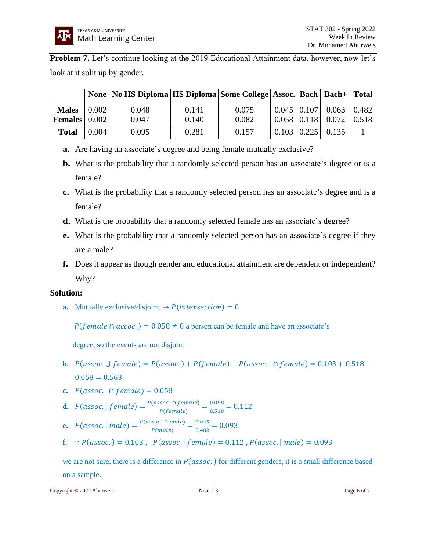**Problem 7.** Let's continue looking at the 2019 Educational Attainment data, however, now let's look at it split up by gender.

|                                      |             | None   No HS Diploma   HS Diploma   Some College   Assoc.   Bach   Bach +   Total |                |                |  |                                                                                                                    |  |
|--------------------------------------|-------------|-----------------------------------------------------------------------------------|----------------|----------------|--|--------------------------------------------------------------------------------------------------------------------|--|
| <b>Males</b><br><b>Females</b> 0.002 | $\pm 0.002$ | 0.048<br>0.047                                                                    | 0.141<br>0.140 | 0.075<br>0.082 |  | $\vert 0.045 \vert 0.107 \vert 0.063 \vert 0.482 \vert$<br>$\vert 0.058 \vert 0.118 \vert 0.072 \vert 0.518 \vert$ |  |
| <b>Total</b>                         | 0.004       | 0.095                                                                             | 0.281          | 0.157          |  | $\vert 0.103 \vert 0.225 \vert 0.135 \vert$                                                                        |  |

- **a.** Are having an associate's degree and being female mutually exclusive?
- **b.** What is the probability that a randomly selected person has an associate's degree or is a female?
- **c.** What is the probability that a randomly selected person has an associate's degree and is a female?
- **d.** What is the probability that a randomly selected female has an associate's degree?
- **e.** What is the probability that a randomly selected person has an associate's degree if they are a male?
- **f.** Does it appear as though gender and educational attainment are dependent or independent? Why?

## **Solution:**

**a.** Mutually exclusive/disjoint  $\rightarrow P$  (*intersection*) = 0

 $P(\text{female} \cap \text{accoc.}) = 0.058 \neq 0$  a person can be female and have an associate's

degree, so the events are not disjoint

- **b.**  $P(assoc. \cup female) = P(assoc.) + P(female) P(assoc. \cap female) = 0.103 + 0.518 0.000$  $0.058 = 0.563$
- **c.**  $P(\text{assoc.} \cap \text{female}) = 0.058$
- **d.**  $P(assoc. | female) = \frac{P(assoc. \cap female)}{P(female)}$  $\frac{(80c \cdot \cap female)}{P(female)} = \frac{0.058}{0.518}$  $\frac{0.036}{0.518} = 0.112$
- **e.**  $P(assoc. | male) = \frac{P(assoc. \cap male)}{P(mels)}$  $\frac{(300 \cdot \text{male})}{P(male)} = \frac{0.045}{0.482}$  $\frac{0.043}{0.482} = 0.093$
- **f.**  $\because P(assoc.) = 0.103$ ,  $P(assoc. | female) = 0.112$ ,  $P(assoc. | male) = 0.093$

we are not sure, there is a difference in  $P(assoc.)$  for different genders, it is a small difference based on a sample.

Copyright © 2022 Aburweis Note # 3 Note # 3 Page 6 of 7